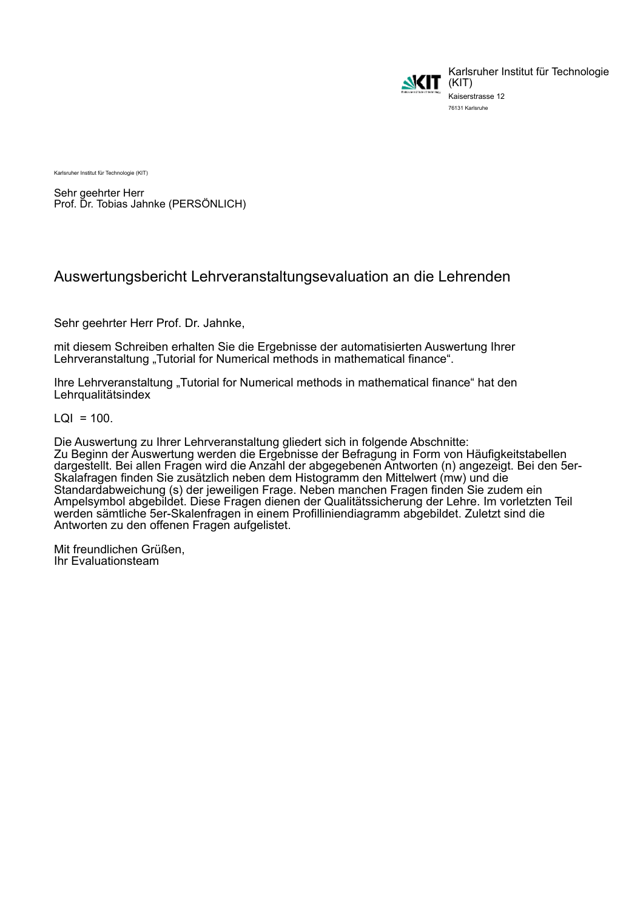

Karlsruher Institut für Technologie Kaiserstrasse 12 76131 Karlsruhe

Karlsruher Institut für Technologie (KIT)

Sehr geehrter Herr Prof. Dr. Tobias Jahnke (PERSÖNLICH)

# Auswertungsbericht Lehrveranstaltungsevaluation an die Lehrenden

Sehr geehrter Herr Prof. Dr. Jahnke,

mit diesem Schreiben erhalten Sie die Ergebnisse der automatisierten Auswertung Ihrer Lehrveranstaltung "Tutorial for Numerical methods in mathematical finance".

Ihre Lehrveranstaltung "Tutorial for Numerical methods in mathematical finance" hat den Lehrqualitätsindex

 $LQI = 100$ .

Die Auswertung zu Ihrer Lehrveranstaltung gliedert sich in folgende Abschnitte: Zu Beginn der Auswertung werden die Ergebnisse der Befragung in Form von Häufigkeitstabellen dargestellt. Bei allen Fragen wird die Anzahl der abgegebenen Antworten (n) angezeigt. Bei den 5er-Skalafragen finden Sie zusätzlich neben dem Histogramm den Mittelwert (mw) und die Standardabweichung (s) der jeweiligen Frage. Neben manchen Fragen finden Sie zudem ein Ampelsymbol abgebildet. Diese Fragen dienen der Qualitätssicherung der Lehre. Im vorletzten Teil werden sämtliche 5er-Skalenfragen in einem Profilliniendiagramm abgebildet. Zuletzt sind die Antworten zu den offenen Fragen aufgelistet.

Mit freundlichen Grüßen, Ihr Evaluationsteam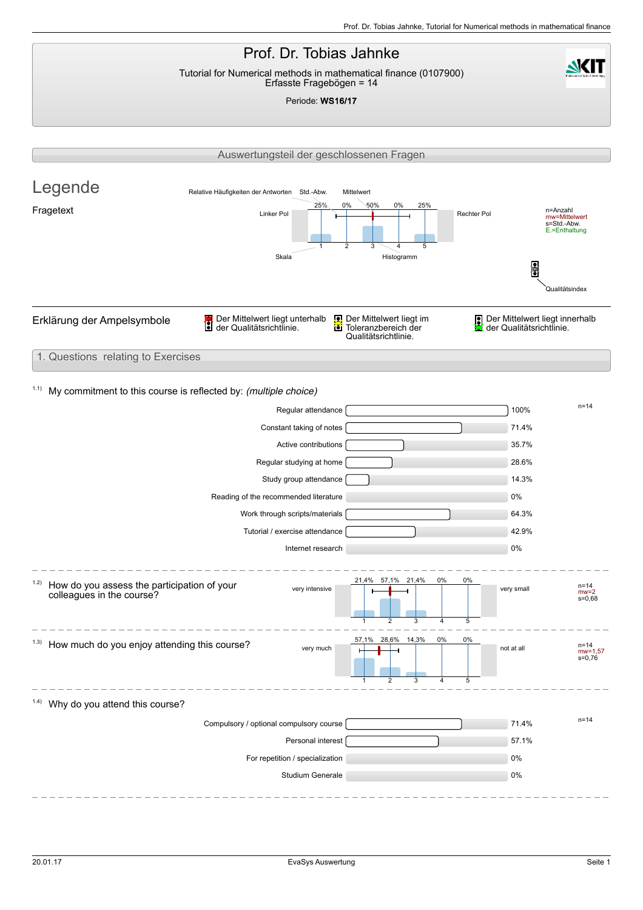**NKIT** 

## Prof. Dr. Tobias Jahnke Tutorial for Numerical methods in mathematical finance (0107900) Erfasste Fragebögen = 14

Periode: WS16/17

|                                                                                  |                                               | Auswertungsteil der geschlossenen Fragen                                                                                                                                                                                                                       |                                                |                                                                          |                    |                                                                        |                                                                             |
|----------------------------------------------------------------------------------|-----------------------------------------------|----------------------------------------------------------------------------------------------------------------------------------------------------------------------------------------------------------------------------------------------------------------|------------------------------------------------|--------------------------------------------------------------------------|--------------------|------------------------------------------------------------------------|-----------------------------------------------------------------------------|
| Legende<br>Fragetext                                                             | Relative Häufigkeiten der Antworten Std.-Abw. | 25%<br>Linker Pol<br>Skala                                                                                                                                                                                                                                     | Mittelwert<br>0%<br>50%<br>$\overline{2}$<br>3 | 0%<br>25%<br>5<br>Histogramm                                             |                    | Rechter Pol<br>띩                                                       | n=Anzahl<br>mw=Mittelwert<br>s=Std.-Abw.<br>E.=Enthaltung<br>Qualitätsindex |
| Erklärung der Ampelsymbole                                                       | Der Mittelwert liegt unterhalb                |                                                                                                                                                                                                                                                                |                                                | Der Mittelwert liegt im<br>i Toleranzbereich der<br>Qualitätsrichtlinie. |                    | 9                                                                      | Der Mittelwert liegt innerhalb<br>der Qualitätsrichtlinie.                  |
| 1. Questions relating to Exercises                                               |                                               |                                                                                                                                                                                                                                                                |                                                |                                                                          |                    |                                                                        |                                                                             |
| 1.1)<br>My commitment to this course is reflected by: (multiple choice)          |                                               | Regular attendance<br>Constant taking of notes<br>Active contributions<br>Regular studying at home<br>Study group attendance<br>Reading of the recommended literature<br>Work through scripts/materials<br>Tutorial / exercise attendance<br>Internet research |                                                |                                                                          |                    | 100%<br>71.4%<br>35.7%<br>28.6%<br>14.3%<br>0%<br>64.3%<br>42.9%<br>0% | $n = 14$                                                                    |
| 1.2)<br>How do you assess the participation of your<br>colleagues in the course? |                                               | very intensive                                                                                                                                                                                                                                                 | 21,4%<br>$\mathbf{1}$                          | 57,1% 21,4%<br>2<br>3                                                    | 0%<br>0%<br>5<br>4 | very small                                                             | $n = 14$<br>$mw=2$<br>$s = 0,68$                                            |
| <sup>1.3)</sup> How much do you enjoy attending this course?                     |                                               | very much                                                                                                                                                                                                                                                      |                                                | 57,1% 28,6% 14,3%<br>$\overline{2}$                                      | 0%<br>0%<br>5      | not at all                                                             | n=14<br>$mw = 1,57$<br>$s = 0,76$                                           |
| <sup>1.4)</sup> Why do you attend this course?                                   |                                               |                                                                                                                                                                                                                                                                |                                                |                                                                          |                    |                                                                        |                                                                             |
|                                                                                  | Compulsory / optional compulsory course       | Personal interest<br>For repetition / specialization<br>Studium Generale                                                                                                                                                                                       |                                                |                                                                          |                    | 71.4%<br>57.1%<br>0%<br>0%                                             | $n = 14$                                                                    |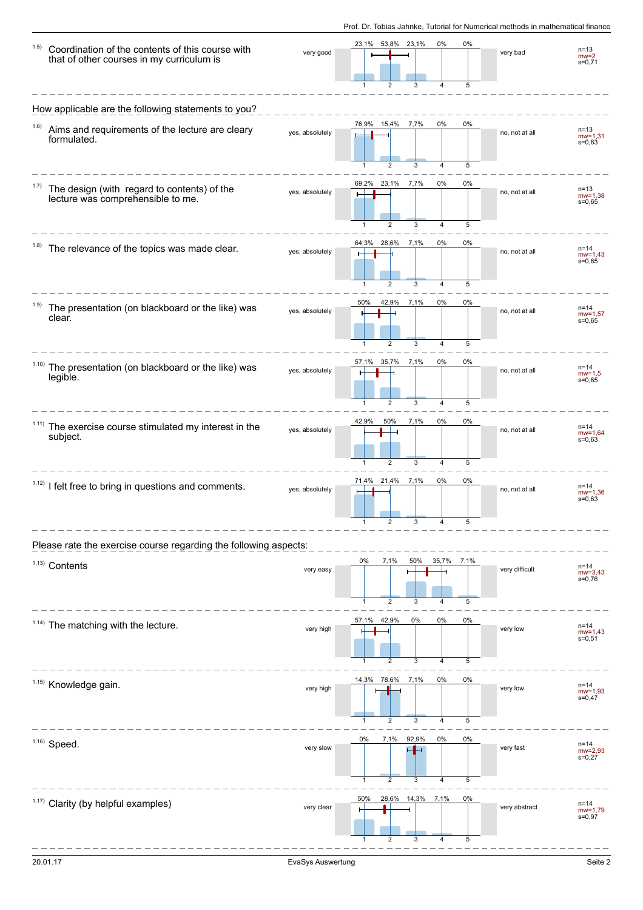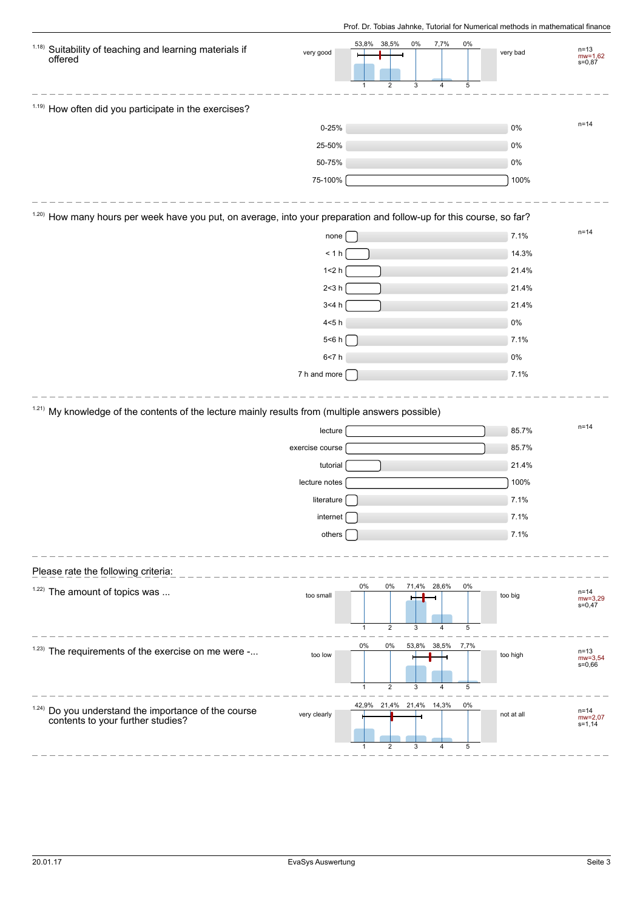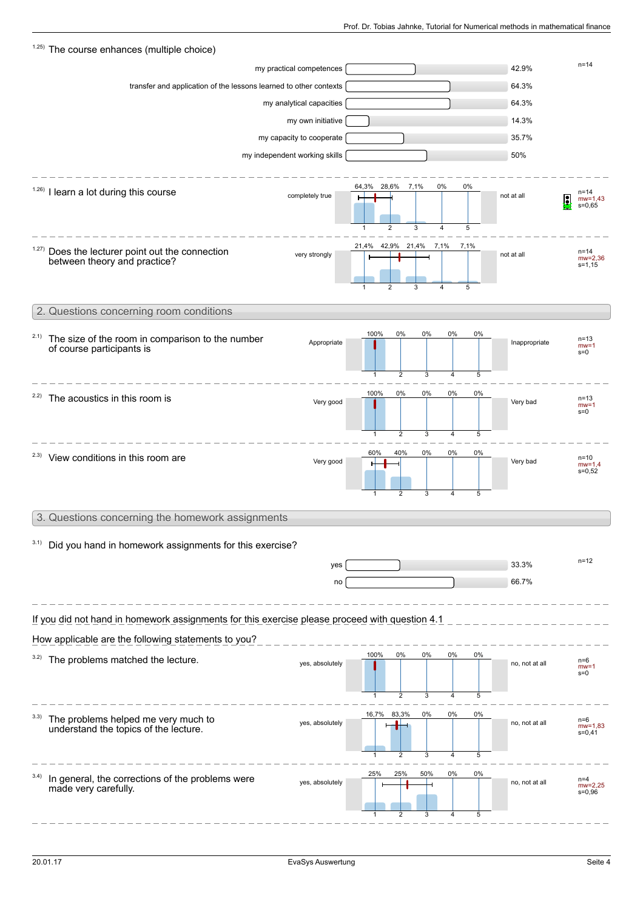| 1.25) The course enhances (multiple choice)                                                    |                               |                                                               |                                             |                |                                        |  |  |  |  |  |
|------------------------------------------------------------------------------------------------|-------------------------------|---------------------------------------------------------------|---------------------------------------------|----------------|----------------------------------------|--|--|--|--|--|
|                                                                                                | my practical competences      |                                                               |                                             | 42.9%          | $n = 14$                               |  |  |  |  |  |
| transfer and application of the lessons learned to other contexts                              |                               |                                                               |                                             | 64.3%          |                                        |  |  |  |  |  |
|                                                                                                | my analytical capacities      |                                                               |                                             | 64.3%          |                                        |  |  |  |  |  |
|                                                                                                | my own initiative             |                                                               |                                             | 14.3%          |                                        |  |  |  |  |  |
|                                                                                                | my capacity to cooperate      |                                                               |                                             | 35.7%          |                                        |  |  |  |  |  |
|                                                                                                | my independent working skills |                                                               |                                             | 50%            |                                        |  |  |  |  |  |
| $1.26$ ) I learn a lot during this course                                                      | completely true               | 64,3%<br>28,6% 7,1%<br>$\overline{2}$<br>3                    | 0%<br>0%<br>4<br>5                          | not at all     | n=14<br>Ω<br>$mw = 1,43$<br>$s = 0,65$ |  |  |  |  |  |
| 1.27)<br>Does the lecturer point out the connection<br>between theory and practice?            | very strongly                 | 21,4% 42,9% 21,4% 7,1%<br>$\overline{2}$<br>3<br>$\mathbf{1}$ | 7,1%<br>5<br>4                              | not at all     | $n = 14$<br>$mv = 2,36$<br>s=1,15      |  |  |  |  |  |
| 2. Questions concerning room conditions                                                        |                               |                                                               |                                             |                |                                        |  |  |  |  |  |
| 2.1)<br>The size of the room in comparison to the number<br>of course participants is          | Appropriate                   | 100%<br>0%<br>$\overline{2}$<br>$\mathbf{1}$                  | 0%<br>0%<br>0%<br>3<br>5<br>4               | Inappropriate  | $n = 13$<br>$mw = 1$<br>$s = 0$        |  |  |  |  |  |
| <sup>2.2)</sup> The acoustics in this room is                                                  | Very good                     | 100%<br>0%<br>$\overline{2}$<br>1                             | 0%<br>0%<br>0%<br>3<br>$\overline{4}$<br>5  | Very bad       | $n = 13$<br>$mw = 1$<br>$s=0$          |  |  |  |  |  |
| <sup>2.3)</sup> View conditions in this room are                                               | Very good                     | 40%<br>60%<br>2<br>1                                          | 0%<br>0%<br>0%<br>3<br>$\overline{4}$<br>5  | Very bad       | $n = 10$<br>$mw=1,4$<br>$s = 0.52$     |  |  |  |  |  |
| 3. Questions concerning the homework assignments                                               |                               |                                                               |                                             |                |                                        |  |  |  |  |  |
|                                                                                                |                               |                                                               |                                             |                |                                        |  |  |  |  |  |
| Did you hand in homework assignments for this exercise?                                        |                               |                                                               |                                             |                |                                        |  |  |  |  |  |
|                                                                                                | yes                           |                                                               |                                             | 33.3%          | $n = 12$                               |  |  |  |  |  |
|                                                                                                | no                            |                                                               |                                             | 66.7%          |                                        |  |  |  |  |  |
| If you did not hand in homework assignments for this exercise please proceed with question 4.1 |                               |                                                               |                                             |                |                                        |  |  |  |  |  |
| How applicable are the following statements to you?                                            |                               | 100%<br>0%                                                    | 0%<br>0%<br>0%                              |                |                                        |  |  |  |  |  |
| 3.2) The problems matched the lecture.                                                         | yes, absolutely               | $\overline{2}$<br>$\mathbf{1}$                                | 5<br>3<br>$\overline{4}$                    | no, not at all | n=6<br>$mw = 1$<br>s=0                 |  |  |  |  |  |
| 3.3)<br>The problems helped me very much to<br>understand the topics of the lecture.           | yes, absolutely               | 16,7% 83,3%<br>2<br>$\mathbf{1}$                              | 0%<br>0%<br>0%<br>3<br>$\overline{4}$<br>5  | no, not at all | n=6<br>$mw = 1,83$<br>$s = 0,41$       |  |  |  |  |  |
| In general, the corrections of the problems were<br>made very carefully.                       | yes, absolutely               | 25%<br>25%<br>2                                               | 50%<br>0%<br>0%<br>5<br>3<br>$\overline{4}$ | no, not at all | $n=4$<br>$mw = 2,25$<br>$s = 0,96$     |  |  |  |  |  |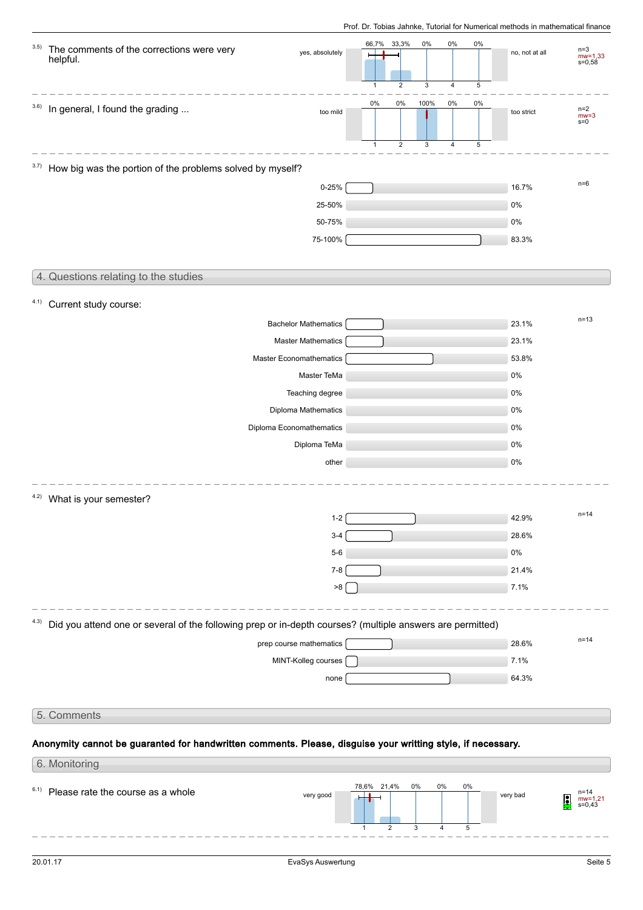| 3.5)<br>The comments of the corrections were very<br>helpful.                                                     | yes, absolutely             | 66,7%<br>33,3%                                                    | 0%             | 0%<br>0%                     | no, not at all | $n=3$<br>$mw = 1,33$<br>$s = 0,58$ |
|-------------------------------------------------------------------------------------------------------------------|-----------------------------|-------------------------------------------------------------------|----------------|------------------------------|----------------|------------------------------------|
| In general, I found the grading<br>3.6)                                                                           | too mild                    | $\overline{2}$<br>$\mathbf{1}$<br>0%<br>0%<br>$\overline{c}$<br>1 | 3<br>100%<br>3 | 4<br>5<br>0%<br>0%<br>5<br>4 | too strict     | $n=2$<br>$mw=3$<br>$s=0$           |
| 3.7)<br>How big was the portion of the problems solved by myself?                                                 |                             |                                                                   |                |                              |                |                                    |
|                                                                                                                   | $0 - 25%$                   |                                                                   |                |                              | 16.7%          | $n=6$                              |
|                                                                                                                   | 25-50%                      |                                                                   |                |                              | 0%             |                                    |
|                                                                                                                   | 50-75%                      |                                                                   |                |                              | 0%             |                                    |
|                                                                                                                   | 75-100%                     |                                                                   |                |                              | 83.3%          |                                    |
| 4. Questions relating to the studies                                                                              |                             |                                                                   |                |                              |                |                                    |
| 4.1) Current study course:                                                                                        |                             |                                                                   |                |                              |                |                                    |
|                                                                                                                   | <b>Bachelor Mathematics</b> |                                                                   |                |                              | 23.1%          | $n=13$                             |
|                                                                                                                   | <b>Master Mathematics</b>   |                                                                   |                |                              | 23.1%          |                                    |
|                                                                                                                   | Master Economathematics     |                                                                   |                |                              | 53.8%          |                                    |
|                                                                                                                   | Master TeMa                 |                                                                   |                |                              | 0%             |                                    |
|                                                                                                                   | Teaching degree             |                                                                   |                |                              | 0%             |                                    |
|                                                                                                                   | Diploma Mathematics         |                                                                   |                |                              | 0%             |                                    |
|                                                                                                                   | Diploma Economathematics    |                                                                   |                |                              | 0%             |                                    |
|                                                                                                                   | Diploma TeMa                |                                                                   |                |                              | 0%             |                                    |
|                                                                                                                   | other                       |                                                                   |                |                              | 0%             |                                    |
| 4.2)<br>What is your semester?                                                                                    |                             |                                                                   |                |                              |                |                                    |
|                                                                                                                   | $1 - 2$                     |                                                                   |                |                              | 42.9%          | $n = 14$                           |
|                                                                                                                   | $3 - 4$                     |                                                                   |                |                              | 28.6%          |                                    |
|                                                                                                                   | $5-6$                       |                                                                   |                |                              | $0\%$          |                                    |
|                                                                                                                   | $7 - 8$                     |                                                                   |                |                              | 21.4%          |                                    |
|                                                                                                                   | $8<$                        |                                                                   |                |                              | 7.1%           |                                    |
| Did you attend one or several of the following prep or in-depth courses? (multiple answers are permitted)<br>4.3) |                             |                                                                   |                |                              |                |                                    |
|                                                                                                                   | prep course mathematics     |                                                                   |                |                              | 28.6%          | $n = 14$                           |
|                                                                                                                   | MINT-Kolleg courses         |                                                                   |                |                              | 7.1%           |                                    |
|                                                                                                                   | none                        |                                                                   |                |                              | 64.3%          |                                    |
| 5. Comments                                                                                                       |                             |                                                                   |                |                              |                |                                    |
| Anonymity cannot be guaranted for handwritten comments. Please, disguise your writting style, if necessary.       |                             |                                                                   |                |                              |                |                                    |
| 6. Monitoring                                                                                                     |                             |                                                                   |                |                              |                |                                    |
|                                                                                                                   |                             | 78,6% 21,4%                                                       | 0%<br>0%       | $0\%$                        |                |                                    |

 $6.1)$  Please rate the course as a whole

1

2

3

very good **very bad** very bad new york of the set of the set of the set of the set of the set of the set of the set of the set of the set of the set of the set of the set of the set of the set of the set of the set of the

4

5

mw=1,21 s=0,43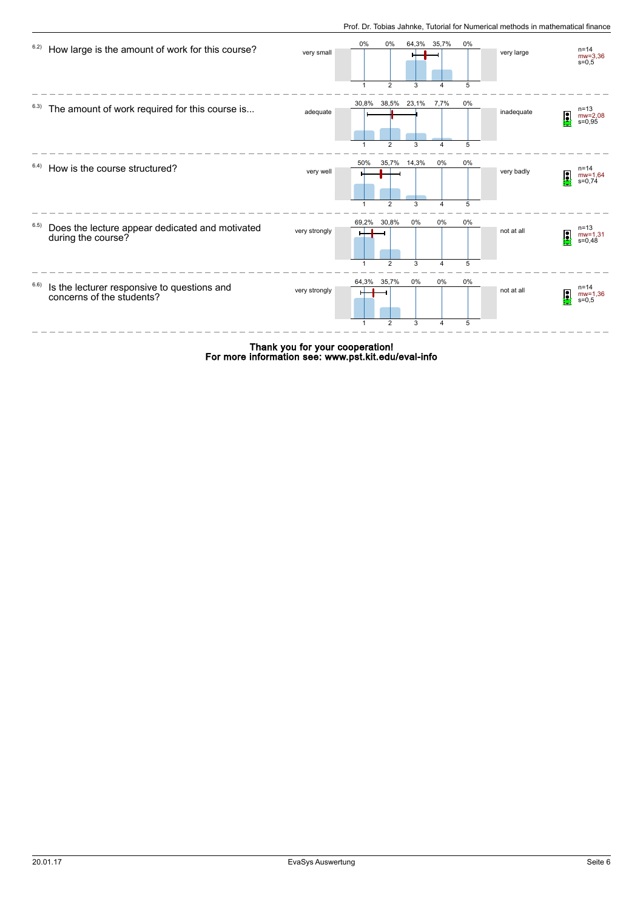

For more information see: www.pst.kit.edu/eval-info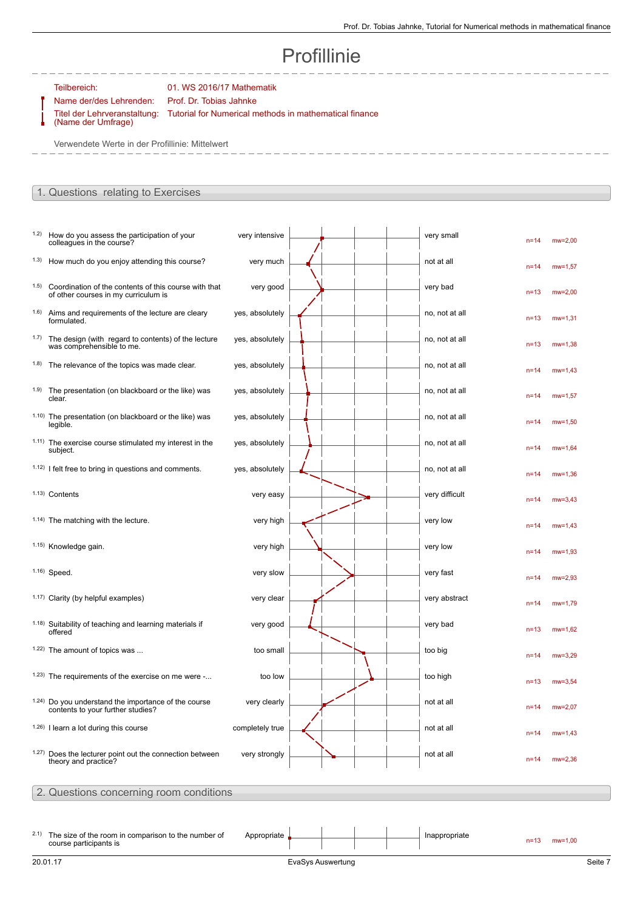--------

# Profillinie

### Teilbereich: 01. WS 2016/17 Mathematik

Name der/des Lehrenden: Prof. Dr. Tobias Jahnke Titel der Lehrveranstaltung:

(Name der Umfrage)

Tutorial for Numerical methods in mathematical finance

Verwendete Werte in der Profillinie: Mittelwert

#### 1. Questions relating to Exercises

| 1.2)  | How do you assess the participation of your<br>colleagues in the course?                             | very intensive  |  |  | very small     | $n = 14$ | $mw=2,00$      |
|-------|------------------------------------------------------------------------------------------------------|-----------------|--|--|----------------|----------|----------------|
|       | <sup>1.3)</sup> How much do you enjoy attending this course?                                         | very much       |  |  | not at all     | $n = 14$ | $mw = 1.57$    |
| (1.5) | Coordination of the contents of this course with that<br>of other courses in my curriculum is        | very good       |  |  | very bad       | $n=13$   | $mw = 2,00$    |
|       | <sup>1.6)</sup> Aims and requirements of the lecture are cleary<br>formulated.                       | yes, absolutely |  |  | no, not at all | $n=13$   | $mw = 1,31$    |
|       | 1.7) The design (with regard to contents) of the lecture<br>was comprehensible to me.                | yes, absolutely |  |  | no, not at all | $n=13$   | $mw = 1,38$    |
|       | <sup>1.8)</sup> The relevance of the topics was made clear.                                          | yes, absolutely |  |  | no, not at all | $n = 14$ | $mw = 1,43$    |
|       | 1.9) The presentation (on blackboard or the like) was<br>clear.                                      | yes, absolutely |  |  | no, not at all | $n = 14$ | $mw = 1,57$    |
|       | 1.10) The presentation (on blackboard or the like) was<br>legible.                                   | yes, absolutely |  |  | no, not at all | $n = 14$ | $mw = 1,50$    |
|       | 1.11) The exercise course stimulated my interest in the<br>subject.                                  | yes, absolutely |  |  | no, not at all | $n = 14$ | $mw = 1,64$    |
|       | $1.12$ ) I felt free to bring in questions and comments.                                             | yes, absolutely |  |  | no, not at all | $n = 14$ | $mw = 1,36$    |
|       | 1.13) Contents                                                                                       | very easy       |  |  | very difficult | $n = 14$ | $mw = 3,43$    |
|       | <sup>1.14)</sup> The matching with the lecture.                                                      | very high       |  |  | very low       | $n = 14$ | $mw = 1,43$    |
|       | 1.15) Knowledge gain.                                                                                | very high       |  |  | very low       | $n = 14$ | $mw = 1,93$    |
|       | $1.16$ ) Speed.                                                                                      | very slow       |  |  | very fast      | $n = 14$ | $mw = 2,93$    |
|       | 1.17) Clarity (by helpful examples)                                                                  | very clear      |  |  | very abstract  | $n = 14$ | $mw = 1,79$    |
|       | 1.18) Suitability of teaching and learning materials if<br>offered                                   | very good       |  |  | very bad       | $n=13$   | $mw = 1,62$    |
|       | 1.22) The amount of topics was                                                                       | too small       |  |  | too big        | $n = 14$ | $mw = 3.29$    |
|       | 1.23) The requirements of the exercise on me were -                                                  | too low         |  |  | too high       | $n=13$   | $mw = 3.54$    |
|       | <sup>1.24)</sup> Do you understand the importance of the course<br>contents to your further studies? | very clearly    |  |  | not at all     |          | $n=14$ mw=2.07 |
|       | $(1.26)$ I learn a lot during this course                                                            | completely true |  |  | not at all     | $n = 14$ | $mw = 1,43$    |
|       | 1.27) Does the lecturer point out the connection between<br>theory and practice?                     | very strongly   |  |  | not at all     | $n = 14$ | $mw = 2,36$    |
|       | 2. Questions concerning room conditions                                                              |                 |  |  |                |          |                |
|       |                                                                                                      |                 |  |  |                |          |                |
|       | <sup>2.1)</sup> The size of the room in comparison to the number of<br>course participants is        | Appropriate     |  |  | Inappropriate  | $n = 13$ | $mw = 1,00$    |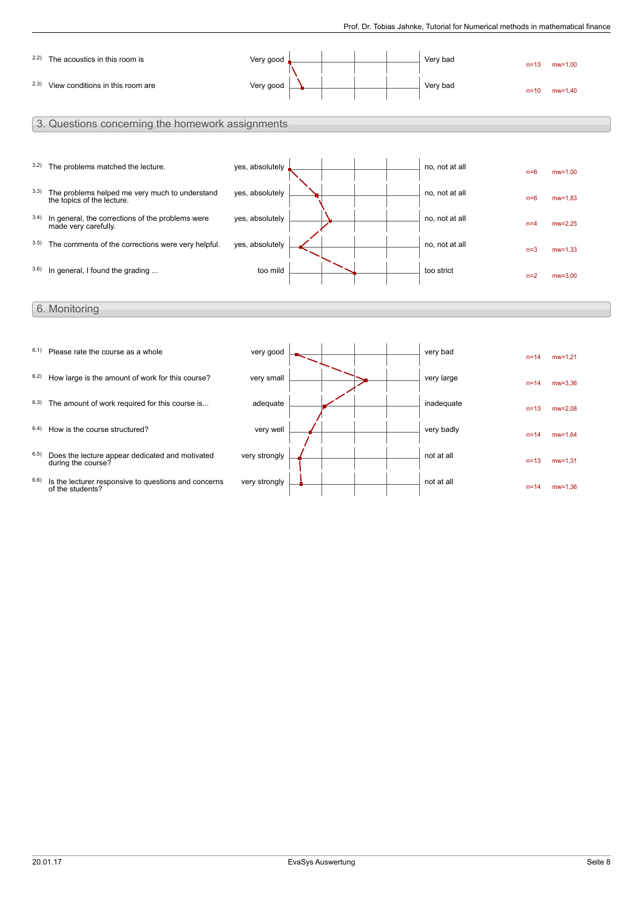|      | 2.2) The acoustics in this room is                                                | Very good       |  | Very bad       | $n = 13$ | $mw = 1,00$ |
|------|-----------------------------------------------------------------------------------|-----------------|--|----------------|----------|-------------|
|      | 2.3) View conditions in this room are                                             | Very good       |  | Very bad       | $n = 10$ | $mw = 1.40$ |
|      | 3. Questions concerning the homework assignments                                  |                 |  |                |          |             |
|      | 3.2) The problems matched the lecture.                                            | yes, absolutely |  | no, not at all | $n=6$    | $mw=1,00$   |
|      | 3.3) The problems helped me very much to understand<br>the topics of the lecture. | yes, absolutely |  | no, not at all | $n=6$    | $mw = 1.83$ |
| 3.4) | In general, the corrections of the problems were<br>made very carefully.          | yes, absolutely |  | no, not at all | $n=4$    | $mw = 2,25$ |
|      | 3.5) The comments of the corrections were very helpful.                           | yes, absolutely |  | no, not at all | $n=3$    | $mw = 1,33$ |
|      | 3.6) In general, I found the grading                                              | too mild        |  | too strict     | $n=2$    | $mw=3.00$   |
|      | 6. Monitoring                                                                     |                 |  |                |          |             |
| 6.1) | Please rate the course as a whole                                                 | very good       |  | very bad       | $n = 14$ | $mw = 1,21$ |
| 6.2) | How large is the amount of work for this course?                                  | very small      |  | very large     | $n = 14$ | $mw = 3.36$ |
|      | 6.3) The amount of work required for this course is                               | adequate        |  | inadequate     | $n=13$   | $mw = 2.08$ |
| 6.4) | How is the course structured?                                                     | very well       |  | very badly     | $n = 14$ | $mw = 1.64$ |
| 6.5) | Does the lecture appear dedicated and motivated<br>during the course?             | very strongly   |  | not at all     | $n = 13$ | $mw = 1,31$ |

very strongly  $\begin{array}{|c|c|c|}\hline \text{\hspace{.2cm} & \hspace{.2cm} & \hspace{.2cm} & \hspace{.2cm} & \hspace{.2cm} & \hspace{.2cm} \hline \text{\hspace{.2cm} & \hspace{.2cm} & \hspace{.2cm} & \hspace{.2cm} & \hspace{.2cm} \end{array}$  not at all

 $6.6$ ) Is the lecturer responsive to questions and concerns of the students?

n=14 mw=1,36